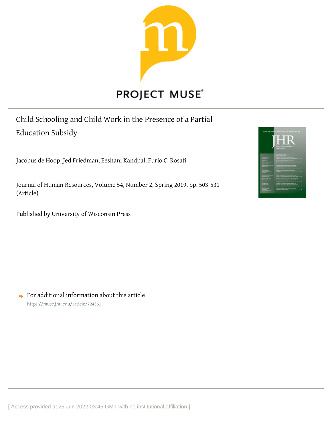

Child Schooling and Child Work in the Presence of a Partial Education Subsidy

Jacobus de Hoop, Jed Friedman, Eeshani Kandpal, Furio C. Rosati

Journal of Human Resources, Volume 54, Number 2, Spring 2019, pp. 503-531 (Article)

Published by University of Wisconsin Press



 $\rightarrow$  For additional information about this article <https://muse.jhu.edu/article/724361>

[ Access provided at 25 Jun 2022 03:45 GMT with no institutional affiliation ]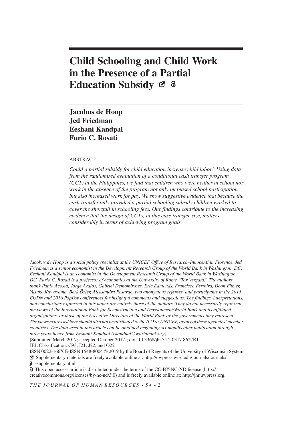# Child Schooling and Child Work in the Presence of a Partial Education Subsidy Ø &

Jacobus de Hoop Jed Friedman Eeshani Kandpal Furio C. Rosati

#### ABSTRACT

Could a partial subsidy for child education increase child labor? Using data from the randomized evaluation of a conditional cash transfer program (CCT) in the Philippines, we find that children who were neither in school nor work in the absence of the program not only increased school participation but also increased work for pay. We show suggestive evidence that because the cash transfer only provided a partial schooling subsidy children worked to cover the shortfall in schooling fees. Our findings contribute to the increasing evidence that the design of CCTs, in this case transfer size, matters considerably in terms of achieving program goals.

THE JOURNAL OF HUMAN RESOURCES  $\cdot$  54  $\cdot$  2

Jacobus de Hoop is a social policy specialist at the UNICEF Office of Research–Innocenti in Florence. Jed Friedman is a senior economist in the Development Research Group of the World Bank in Washington, DC. Eeshani Kandpal is an economist in the Development Research Group of the World Bank in Washington, DC. Furio C. Rosati is a professor of economics at the University of Rome "Tor Vergata." The authors thank Pablo Acosta, Jorge Avalos, Gabriel Demombynes, Eric Edmonds, Francisco Ferreira, Deon Filmer, Yusuke Kuwayama, Berk Özler, Aleksandra Posarac, two anonymous referees, and participants in the 2015 EUDN and 2016 PopPov conferences for insightful comments and suggestions. The findings, interpretations, and conclusions expressed in this paper are entirely those of the authors. They do not necessarily represent the views of the International Bank for Reconstruction and Development/World Bank and its affiliated organizations, or those of the Executive Directors of the World Bank or the governments they represent. The views expressed here should also not be attributed to the ILO or UNICEF, or any of these agencies' member countries. The data used in this article can be obtained beginning six months after publication through three years hence from Eeshani Kandpal (ekandpal@worldbank.org).

<sup>[</sup>Submitted March 2017; accepted October 2017]; doi: 10.3368/jhr.54.2.0317.8627R1 JEL Classification: C93, I21, J22, and O22

ISSN 0022-166X E-ISSN 1548-8004 ª 2019 by the Board of Regents of the University of Wisconsin System Supplementary materials are freely available online at: [http://uwpress.wisc.edu/journals/journals/](http://uwpress.wisc.edu/journals/journals/jhr-supplementary.html) [jhr-supplementary.html](http://uwpress.wisc.edu/journals/journals/jhr-supplementary.html)

This open access article is distributed under the terms of the CC-BY-NC-ND license [\(http://](http://creativecommons.org/licenses/by-nc-nd/3.0) [creativecommons.org/licenses/by-nc-nd/3.0](http://creativecommons.org/licenses/by-nc-nd/3.0)) and is freely available online at: [http://jhr.uwpress.org.](http://jhr.uwpress.org)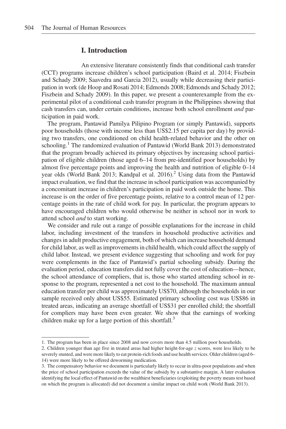# I. Introduction

An extensive literature consistently finds that conditional cash transfer (CCT) programs increase children's school participation (Baird et al. 2014; Fiszbein and Schady 2009; Saavedra and Garcia 2012), usually while decreasing their participation in work (de Hoop and Rosati 2014; Edmonds 2008; Edmonds and Schady 2012; Fiszbein and Schady 2009). In this paper, we present a counterexample from the experimental pilot of a conditional cash transfer program in the Philippines showing that cash transfers can, under certain conditions, increase both school enrollment and participation in paid work.

The program, Pantawid Pamilya Pilipino Program (or simply Pantawid), supports poor households (those with income less than US\$2.15 per capita per day) by providing two transfers, one conditioned on child health-related behavior and the other on schooling.<sup>1</sup> The randomized evaluation of Pantawid (World Bank 2013) demonstrated that the program broadly achieved its primary objectives by increasing school participation of eligible children (those aged 6–14 from pre-identified poor households) by almost five percentage points and improving the health and nutrition of eligible 0–14 year olds (World Bank 2013; Kandpal et al. 2016).<sup>2</sup> Using data from the Pantawid impact evaluation, we find that the increase in school participation was accompanied by a concomitant increase in children's participation in paid work outside the home. This increase is on the order of five percentage points, relative to a control mean of 12 percentage points in the rate of child work for pay. In particular, the program appears to have encouraged children who would otherwise be neither in school nor in work to attend school *and* to start working.

We consider and rule out a range of possible explanations for the increase in child labor, including investment of the transfers in household productive activities and changes in adult productive engagement, both of which can increase household demand for child labor, as well as improvements in child health, which could affect the supply of child labor. Instead, we present evidence suggesting that schooling and work for pay were complements in the face of Pantawid's partial schooling subsidy. During the evaluation period, education transfers did not fully cover the cost of education—hence, the school attendance of compliers, that is, those who started attending school in response to the program, represented a net cost to the household. The maximum annual education transfer per child was approximately US\$70, although the households in our sample received only about US\$55. Estimated primary schooling cost was US\$86 in treated areas, indicating an average shortfall of US\$31 per enrolled child; the shortfall for compliers may have been even greater. We show that the earnings of working children make up for a large portion of this shortfall.<sup>3</sup>

<sup>1.</sup> The program has been in place since 2008 and now covers more than 4.5 million poor households.

<sup>2.</sup> Children younger than age five in treated areas had higher height-for-age z scores, were less likely to be severely stunted, and were more likely to eat protein-rich foods and use health services. Older children (aged 6– 14) were more likely to be offered deworming medication.

<sup>3.</sup> The compensatory behavior we document is particularly likely to occur in ultra-poor populations and when the price of school participation exceeds the value of the subsidy by a substantive margin. A later evaluation identifying the local effect of Pantawid on the wealthiest beneficiaries (exploiting the poverty means test based on which the program is allocated) did not document a similar impact on child work (World Bank 2013).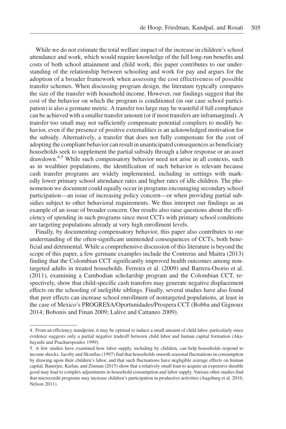While we do not estimate the total welfare impact of the increase in children's school attendance and work, which would require knowledge of the full long-run benefits and costs of both school attainment and child work, this paper contributes to our understanding of the relationship between schooling and work for pay and argues for the adoption of a broader framework when assessing the cost effectiveness of possible transfer schemes. When discussing program design, the literature typically compares the size of the transfer with household income. However, our findings suggest that the cost of the behavior on which the program is conditioned (in our case school participation) is also a germane metric. A transfer too large may be wasteful if full compliance can be achieved with a smaller transfer amount (or if most transfers are inframarginal). A transfer too small may not sufficiently compensate potential compliers to modify behavior, even if the presence of positive externalities is an acknowledged motivation for the subsidy. Alternatively, a transfer that does not fully compensate for the cost of adopting the compliant behavior can result in unanticipated consequences as beneficiary households seek to supplement the partial subsidy through a labor response or an asset drawdown.4,5 While such compensatory behavior need not arise in all contexts, such as in wealthier populations, the identification of such behavior is relevant because cash transfer programs are widely implemented, including in settings with markedly lower primary school attendance rates and higher rates of idle children. The phenomenon we document could equally occur in programs encouraging secondary school participation—an issue of increasing policy concern—or when providing partial subsidies subject to other behavioral requirements. We thus interpret our findings as an example of an issue of broader concern. Our results also raise questions about the efficiency of spending in such programs since most CCTs with primary school conditions are targeting populations already at very high enrollment levels.

Finally, by documenting compensatory behavior, this paper also contributes to our understanding of the often-significant unintended consequences of CCTs, both beneficial and detrimental. While a comprehensive discussion of this literature is beyond the scope of this paper, a few germane examples include the Contreras and Maitra (2013) finding that the Colombian CCT significantly improved health outcomes among nontargeted adults in treated households. Ferreira et al. (2009) and Barrera-Osorio et al. (2011), examining a Cambodian scholarship program and the Colombian CCT, respectively, show that child-specific cash transfers may generate negative displacement effects on the schooling of ineligible siblings. Finally, several studies have also found that peer effects can increase school enrollment of nontargeted populations, at least in the case of Mexico's PROGRESA/Oportunidades/Prospera CCT (Bobba and Gignoux 2014; Bobonis and Finan 2009; Lalive and Cattaneo 2009).

<sup>4.</sup> From an efficiency standpoint, it may be optimal to induce a small amount of child labor, particularly since evidence suggests only a partial negative tradeoff between child labor and human capital formation (Akabayashi and Psacharopoulos 1999).

<sup>5.</sup> A few studies have examined how labor supply, including by children, can help households respond to income shocks. Jacoby and Skoufias (1997) find that households smooth seasonal fluctuations in consumption by drawing upon their children's labor, and that such fluctuations have negligible average effects on human capital. Banerjee, Karlan, and Zinman (2015) show that a relatively small loan to acquire an expensive durable good may lead to complex adjustments in household consumption and labor supply. Various other studies find that microcredit programs may increase children's participation in productive activities (Augsburg et al. 2016; Nelson 2011).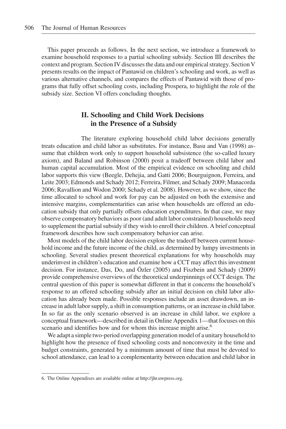This paper proceeds as follows. In the next section, we introduce a framework to examine household responses to a partial schooling subsidy. Section III describes the context and program. Section IV discusses the data and our empirical strategy. Section V presents results on the impact of Pantawid on children's schooling and work, as well as various alternative channels, and compares the effects of Pantawid with those of programs that fully offset schooling costs, including Prospera, to highlight the role of the subsidy size. Section VI offers concluding thoughts.

# II. Schooling and Child Work Decisions in the Presence of a Subsidy

The literature exploring household child labor decisions generally treats education and child labor as substitutes. For instance, Basu and Van (1998) assume that children work only to support household subsistence (the so-called luxury axiom), and Baland and Robinson (2000) posit a tradeoff between child labor and human capital accumulation. Most of the empirical evidence on schooling and child labor supports this view (Beegle, Dehejia, and Gatti 2006; Bourguignon, Ferreira, and Leite 2003; Edmonds and Schady 2012; Ferreira, Filmer, and Schady 2009; Manacorda 2006; Ravallion and Wodon 2000; Schady et al. 2008). However, as we show, since the time allocated to school and work for pay can be adjusted on both the extensive and intensive margins, complementarities can arise when households are offered an education subsidy that only partially offsets education expenditures. In that case, we may observe compensatory behaviors as poor (and adult labor constrained) households need to supplement the partial subsidy if they wish to enroll their children. A brief conceptual framework describes how such compensatory behavior can arise.

Most models of the child labor decision explore the tradeoff between current household income and the future income of the child, as determined by lumpy investments in schooling. Several studies present theoretical explanations for why households may underinvest in children's education and examine how a CCT may affect this investment decision. For instance, Das, Do, and Özler (2005) and Fiszbein and Schady (2009) provide comprehensive overviews of the theoretical underpinnings of CCT design. The central question of this paper is somewhat different in that it concerns the household's response to an offered schooling subsidy after an initial decision on child labor allocation has already been made. Possible responses include an asset drawdown, an increase in adult labor supply, a shift in consumption patterns, or an increase in child labor. In so far as the only scenario observed is an increase in child labor, we explore a conceptual framework—described in detail in Online Appendix 1—that focuses on this scenario and identifies how and for whom this increase might arise.<sup>6</sup>

We adapt a simple two-period overlapping generation model of a unitary household to highlight how the presence of fixed schooling costs and nonconvexity in the time and budget constraints, generated by a minimum amount of time that must be devoted to school attendance, can lead to a complementarity between education and child labor in

<sup>6.</sup> The Online Appendixes are available online at<http://jhr.uwpress.org>.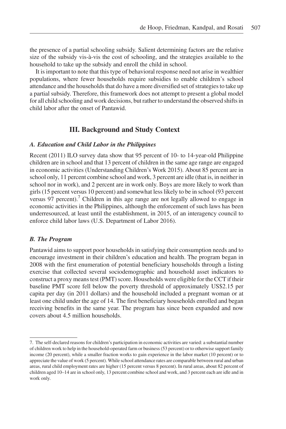the presence of a partial schooling subsidy. Salient determining factors are the relative size of the subsidy vis-à-vis the cost of schooling, and the strategies available to the household to take up the subsidy and enroll the child in school.

It is important to note that this type of behavioral response need not arise in wealthier populations, where fewer households require subsidies to enable children's school attendance and the households that do have a more diversified set of strategies to take up a partial subsidy. Therefore, this framework does not attempt to present a global model for all child schooling and work decisions, but rather to understand the observed shifts in child labor after the onset of Pantawid.

# III. Background and Study Context

# A. Education and Child Labor in the Philippines

Recent (2011) ILO survey data show that 95 percent of 10- to 14-year-old Philippine children are in school and that 13 percent of children in the same age range are engaged in economic activities (Understanding Children's Work 2015). About 85 percent are in school only, 11 percent combine school and work, 3 percent are idle (that is, in neither in school nor in work), and 2 percent are in work only. Boys are more likely to work than girls (15 percent versus 10 percent) and somewhat less likely to be in school (93 percent versus  $97$  percent).<sup>7</sup> Children in this age range are not legally allowed to engage in economic activities in the Philippines, although the enforcement of such laws has been underresourced, at least until the establishment, in 2015, of an interagency council to enforce child labor laws (U.S. Department of Labor 2016).

# B. The Program

Pantawid aims to support poor households in satisfying their consumption needs and to encourage investment in their children's education and health. The program began in 2008 with the first enumeration of potential beneficiary households through a listing exercise that collected several sociodemographic and household asset indicators to construct a proxy means test (PMT) score. Households were eligible for the CCT if their baseline PMT score fell below the poverty threshold of approximately US\$2.15 per capita per day (in 2011 dollars) and the household included a pregnant woman or at least one child under the age of 14. The first beneficiary households enrolled and began receiving benefits in the same year. The program has since been expanded and now covers about 4.5 million households.

<sup>7.</sup> The self-declared reasons for children's participation in economic activities are varied: a substantial number of children work to help in the household-operated farm or business (53 percent) or to otherwise support family income (20 percent), while a smaller fraction works to gain experience in the labor market (10 percent) or to appreciate the value of work (5 percent). While school attendance rates are comparable between rural and urban areas, rural child employment rates are higher (15 percent versus 8 percent). In rural areas, about 82 percent of children aged 10–14 are in school only, 13 percent combine school and work, and 3 percent each are idle and in work only.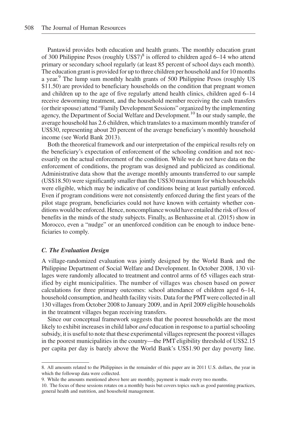Pantawid provides both education and health grants. The monthly education grant of 300 Philippine Pesos (roughly  $USS7$ <sup>8</sup> is offered to children aged 6–14 who attend primary or secondary school regularly (at least 85 percent of school days each month). The education grant is provided for up to three children per household and for 10 months a year.<sup>9</sup> The lump sum monthly health grants of 500 Philippine Pesos (roughly US \$11.50) are provided to beneficiary households on the condition that pregnant women and children up to the age of five regularly attend health clinics, children aged 6–14 receive deworming treatment, and the household member receiving the cash transfers (or their spouse) attend "Family Development Sessions" organized by the implementing agency, the Department of Social Welfare and Development.10 In our study sample, the average household has 2.6 children, which translates to a maximum monthly transfer of US\$30, representing about 20 percent of the average beneficiary's monthly household income (see World Bank 2013).

Both the theoretical framework and our interpretation of the empirical results rely on the beneficiary's expectation of enforcement of the schooling condition and not necessarily on the actual enforcement of the condition. While we do not have data on the enforcement of conditions, the program was designed and publicized as conditional. Administrative data show that the average monthly amounts transferred to our sample (US\$18.50) were significantly smaller than the US\$30 maximum for which households were eligible, which may be indicative of conditions being at least partially enforced. Even if program conditions were not consistently enforced during the first years of the pilot stage program, beneficiaries could not have known with certainty whether conditions would be enforced. Hence, noncompliance would have entailed the risk of loss of benefits in the minds of the study subjects. Finally, as Benhassine et al. (2015) show in Morocco, even a "nudge" or an unenforced condition can be enough to induce beneficiaries to comply.

#### C. The Evaluation Design

A village-randomized evaluation was jointly designed by the World Bank and the Philippine Department of Social Welfare and Development. In October 2008, 130 villages were randomly allocated to treatment and control arms of 65 villages each stratified by eight municipalities. The number of villages was chosen based on power calculations for three primary outcomes: school attendance of children aged 6–14, household consumption, and health facility visits. Data for the PMTwere collected in all 130 villages from October 2008 to January 2009, and in April 2009 eligible households in the treatment villages began receiving transfers.

Since our conceptual framework suggests that the poorest households are the most likely to exhibit increases in child labor and education in response to a partial schooling subsidy, it is useful to note that these experimental villages represent the poorest villages in the poorest municipalities in the country—the PMT eligibility threshold of US\$2.15 per capita per day is barely above the World Bank's US\$1.90 per day poverty line.

<sup>8.</sup> All amounts related to the Philippines in the remainder of this paper are in 2011 U.S. dollars, the year in which the followup data were collected.

<sup>9.</sup> While the amounts mentioned above here are monthly, payment is made every two months.

<sup>10.</sup> The focus of these sessions rotates on a monthly basis but covers topics such as good parenting practices, general health and nutrition, and household management.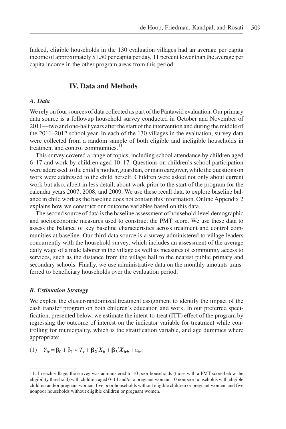Indeed, eligible households in the 130 evaluation villages had an average per capita income of approximately \$1.50 per capita per day, 11 percent lower than the average per capita income in the other program areas from this period.

# IV. Data and Methods

#### A. Data

We rely on four sources of data collected as part of the Pantawid evaluation. Our primary data source is a followup household survey conducted in October and November of 2011—two and one-half years after the start of the intervention and during the middle of the 2011–2012 school year. In each of the 130 villages in the evaluation, survey data were collected from a random sample of both eligible and ineligible households in treatment and control communities. $11$ 

This survey covered a range of topics, including school attendance by children aged 6–17 and work by children aged 10–17. Questions on children's school participation were addressed to the child's mother, guardian, or main caregiver, while the questions on work were addressed to the child herself. Children were asked not only about current work but also, albeit in less detail, about work prior to the start of the program for the calendar years 2007, 2008, and 2009. We use these recall data to explore baseline balance in child work as the baseline does not contain this information. Online Appendix 2 explains how we construct our outcome variables based on this data.

The second source of data is the baseline assessment of household-level demographic and socioeconomic measures used to construct the PMT score. We use these data to assess the balance of key baseline characteristics across treatment and control communities at baseline. Our third data source is a survey administered to village leaders concurrently with the household survey, which includes an assessment of the average daily wage of a male laborer in the village as well as measures of community access to services, such as the distance from the village hall to the nearest public primary and secondary schools. Finally, we use administrative data on the monthly amounts transferred to beneficiary households over the evaluation period.

#### B. Estimation Strategy

We exploit the cluster-randomized treatment assignment to identify the impact of the cash transfer program on both children's education and work. In our preferred specification, presented below, we estimate the intent-to-treat (ITT) effect of the program by regressing the outcome of interest on the indicator variable for treatment while controlling for municipality, which is the stratification variable, and age dummies where appropriate:

(1) 
$$
Y_{iv} = \beta_0 + \beta_1 * T_v + \beta_2' X_b + \beta_3' X_{ivb} + \varepsilon_{iv}
$$
.

<sup>11.</sup> In each village, the survey was administered to 10 poor households (those with a PMT score below the eligibility threshold) with children aged 0–14 and/or a pregnant woman, 10 nonpoor households with eligible children and/or pregnant women, five poor households without eligible children or pregnant women, and five nonpoor households without eligible children or pregnant women.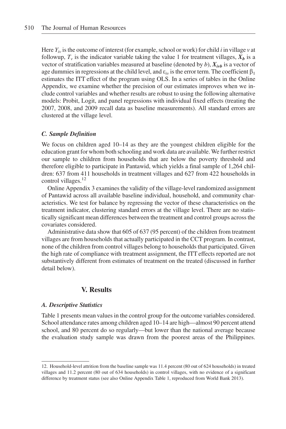Here  $Y_{iv}$  is the outcome of interest (for example, school or work) for child *i* in village v at followup,  $T_v$  is the indicator variable taking the value 1 for treatment villages,  $X_b$  is a vector of stratification variables measured at baseline (denoted by b),  $X_{i\nu b}$  is a vector of age dummies in regressions at the child level, and  $\varepsilon_{iv}$  is the error term. The coefficient  $\beta_1$ estimates the ITT effect of the program using OLS. In a series of tables in the Online Appendix, we examine whether the precision of our estimates improves when we include control variables and whether results are robust to using the following alternative models: Probit, Logit, and panel regressions with individual fixed effects (treating the 2007, 2008, and 2009 recall data as baseline measurements). All standard errors are clustered at the village level.

#### C. Sample Definition

We focus on children aged 10–14 as they are the youngest children eligible for the education grant for whom both schooling and work data are available.We further restrict our sample to children from households that are below the poverty threshold and therefore eligible to participate in Pantawid, which yields a final sample of 1,264 children: 637 from 411 households in treatment villages and 627 from 422 households in control villages.<sup>12</sup>

Online Appendix 3 examines the validity of the village-level randomized assignment of Pantawid across all available baseline individual, household, and community characteristics. We test for balance by regressing the vector of these characteristics on the treatment indicator, clustering standard errors at the village level. There are no statistically significant mean differences between the treatment and control groups across the covariates considered.

Administrative data show that 605 of 637 (95 percent) of the children from treatment villages are from households that actually participated in the CCT program. In contrast, none of the children from control villages belong to households that participated. Given the high rate of compliance with treatment assignment, the ITT effects reported are not substantively different from estimates of treatment on the treated (discussed in further detail below).

# V. Results

#### A. Descriptive Statistics

Table 1 presents mean values in the control group for the outcome variables considered. School attendance rates among children aged 10–14 are high—almost 90 percent attend school, and 80 percent do so regularly—but lower than the national average because the evaluation study sample was drawn from the poorest areas of the Philippines.

<sup>12.</sup> Household-level attrition from the baseline sample was 11.4 percent (80 out of 624 households) in treated villages and 11.2 percent (80 out of 634 households) in control villages, with no evidence of a significant difference by treatment status (see also Online Appendix Table 1, reproduced from World Bank 2013).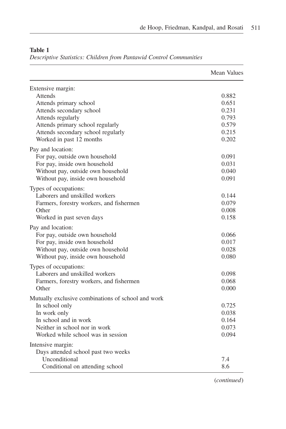|                                                    | <b>Mean Values</b> |
|----------------------------------------------------|--------------------|
| Extensive margin:                                  |                    |
| Attends                                            | 0.882              |
| Attends primary school                             | 0.651              |
| Attends secondary school                           | 0.231              |
| Attends regularly                                  | 0.793              |
| Attends primary school regularly                   | 0.579              |
| Attends secondary school regularly                 | 0.215              |
| Worked in past 12 months                           | 0.202              |
| Pay and location:                                  |                    |
| For pay, outside own household                     | 0.091              |
| For pay, inside own household                      | 0.031              |
| Without pay, outside own household                 | 0.040              |
| Without pay, inside own household                  | 0.091              |
| Types of occupations:                              |                    |
| Laborers and unskilled workers                     | 0.144              |
| Farmers, forestry workers, and fishermen           | 0.079              |
| Other                                              | 0.008              |
| Worked in past seven days                          | 0.158              |
| Pay and location:                                  |                    |
| For pay, outside own household                     | 0.066              |
| For pay, inside own household                      | 0.017              |
| Without pay, outside own household                 | 0.028              |
| Without pay, inside own household                  | 0.080              |
| Types of occupations:                              |                    |
| Laborers and unskilled workers                     | 0.098              |
| Farmers, forestry workers, and fishermen           | 0.068              |
| Other                                              | 0.000              |
| Mutually exclusive combinations of school and work |                    |
| In school only                                     | 0.725              |
| In work only                                       | 0.038              |
| In school and in work                              | 0.164              |
| Neither in school nor in work                      | 0.073              |
| Worked while school was in session                 | 0.094              |
| Intensive margin:                                  |                    |
| Days attended school past two weeks                |                    |
| Unconditional                                      | 7.4                |
| Conditional on attending school                    | 8.6                |

# Table 1

Descriptive Statistics: Children from Pantawid Control Communities

(continued)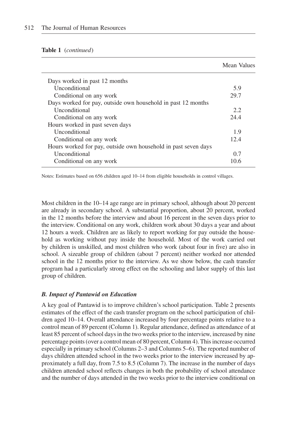#### Table 1 (continued)

|                                                                | Mean Values |
|----------------------------------------------------------------|-------------|
| Days worked in past 12 months                                  |             |
| <b>Unconditional</b>                                           | 5.9         |
| Conditional on any work                                        | 29.7        |
| Days worked for pay, outside own household in past 12 months   |             |
| <b>Unconditional</b>                                           | 2.2.        |
| Conditional on any work                                        | 24.4        |
| Hours worked in past seven days                                |             |
| Unconditional                                                  | 1.9         |
| Conditional on any work                                        | 12.4        |
| Hours worked for pay, outside own household in past seven days |             |
| <b>Unconditional</b>                                           | 0.7         |
| Conditional on any work                                        | 10.6        |

Notes: Estimates based on 656 children aged 10–14 from eligible households in control villages.

Most children in the 10–14 age range are in primary school, although about 20 percent are already in secondary school. A substantial proportion, about 20 percent, worked in the 12 months before the interview and about 16 percent in the seven days prior to the interview. Conditional on any work, children work about 30 days a year and about 12 hours a week. Children are as likely to report working for pay outside the household as working without pay inside the household. Most of the work carried out by children is unskilled, and most children who work (about four in five) are also in school. A sizeable group of children (about 7 percent) neither worked nor attended school in the 12 months prior to the interview. As we show below, the cash transfer program had a particularly strong effect on the schooling and labor supply of this last group of children.

### B. Impact of Pantawid on Education

A key goal of Pantawid is to improve children's school participation. Table 2 presents estimates of the effect of the cash transfer program on the school participation of children aged 10–14. Overall attendance increased by four percentage points relative to a control mean of 89 percent (Column 1). Regular attendance, defined as attendance of at least 85 percent of school days in the two weeks prior to the interview, increased by nine percentage points (over a control mean of 80 percent, Column 4). This increase occurred especially in primary school (Columns 2–3 and Columns 5–6). The reported number of days children attended school in the two weeks prior to the interview increased by approximately a full day, from 7.5 to 8.5 (Column 7). The increase in the number of days children attended school reflects changes in both the probability of school attendance and the number of days attended in the two weeks prior to the interview conditional on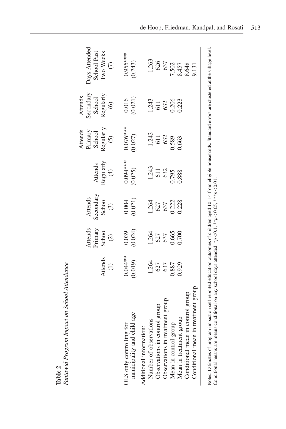|                                                                                                                                                                                                                                                       | Pantawid Program Impact on School Attendance |                                               |                                           |                                         |                                                        |                                                                                       |                                                       |
|-------------------------------------------------------------------------------------------------------------------------------------------------------------------------------------------------------------------------------------------------------|----------------------------------------------|-----------------------------------------------|-------------------------------------------|-----------------------------------------|--------------------------------------------------------|---------------------------------------------------------------------------------------|-------------------------------------------------------|
|                                                                                                                                                                                                                                                       | Attends<br>$\bigoplus$                       | Attends<br>Primary<br>School<br>$\widehat{C}$ | Secondary<br>School<br>Attends<br>$\odot$ | Regularly<br>$(A)$<br>Attends           | Attends<br>Primary<br>School<br>Regularly<br>Regularly | secondary<br>$\begin{align} \text{Regularly} \\ (6) \end{align}$<br>Attends<br>School | Days Attended<br>School Past<br>Two Weeks<br>$\odot$  |
| municipality and child age<br>OLS only controlling for                                                                                                                                                                                                | $0.044**$<br>(0.019)                         | (0.024)<br>0.039                              | $0.004$<br>$(0.021)$                      | $0.094***$<br>(0.025)                   | $0.076***$<br>(0.027)                                  | (0.021)<br>0.016                                                                      | $0.955***$<br>(0.243)                                 |
| Conditional mean in treatment group<br>Conditional mean in control group<br>Observations in treatment group<br>Observations in control group<br>Mean in treatment group<br>Number of observations<br>Mean in control group<br>Additional information: | 1,264<br>627<br>637<br>0.887<br>0.929        | 0.665<br>1,264<br>627<br>637                  | 1,264<br>627<br>637<br>0.222<br>0.228     | $1,243$<br>611<br>632<br>0.795<br>0.888 | 1,243<br>611<br>632<br>1.589<br>0.663                  | 1,243<br>611<br>632<br>0.206<br>0.223                                                 | 1,263<br>626<br>637<br>637<br>8.648<br>8.648<br>9.131 |

Notes: Estimates of program impact on self-reported education outcomes of children aged 10-14 from eligible households. Standard errors are clustered at the village level. Notes: Estimates of program impact on self-reported education outcomes of children aged 10–14 from eligible households. Standard errors are clustered at the village level. Conditional means are means conditional on any school days attended. \* $p < 0.1$ , \*\* $p < 0.05$ , \*\* $p < 0.01$ . Conditional means are means conditional on any school days attended. \* $p < 0.1$ , \*\* $p < 0.05$ , \*\*\* $p < 0.01$ .

Pantawid Program Impact on School Attendance Table 2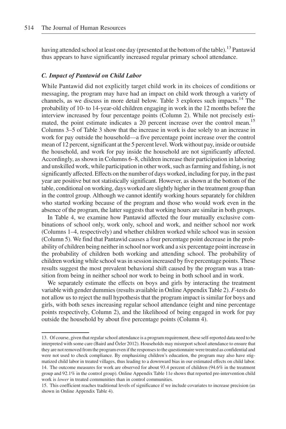having attended school at least one day (presented at the bottom of the table).<sup>13</sup> Pantawid thus appears to have significantly increased regular primary school attendance.

# C. Impact of Pantawid on Child Labor

While Pantawid did not explicitly target child work in its choices of conditions or messaging, the program may have had an impact on child work through a variety of channels, as we discuss in more detail below. Table 3 explores such impacts.14 The probability of 10- to 14-year-old children engaging in work in the 12 months before the interview increased by four percentage points (Column 2). While not precisely estimated, the point estimate indicates a 20 percent increase over the control mean.<sup>15</sup> Columns 3–5 of Table 3 show that the increase in work is due solely to an increase in work for pay outside the household—a five percentage point increase over the control mean of 12 percent, significant at the 5 percent level. Work without pay, inside or outside the household, and work for pay inside the household are not significantly affected. Accordingly, as shown in Columns 6–8, children increase their participation in laboring and unskilled work, while participation in other work, such as farming and fishing, is not significantly affected. Effects on the number of days worked, including for pay, in the past year are positive but not statistically significant. However, as shown at the bottom of the table, conditional on working, days worked are slightly higher in the treatment group than in the control group. Although we cannot identify working hours separately for children who started working because of the program and those who would work even in the absence of the program, the latter suggests that working hours are similar in both groups.

In Table 4, we examine how Pantawid affected the four mutually exclusive combinations of school only, work only, school and work, and neither school nor work (Columns 1–4, respectively) and whether children worked while school was in session (Column 5). We find that Pantawid causes a four percentage point decrease in the probability of children being neither in school nor work and a six percentage point increase in the probability of children both working and attending school. The probability of children working while school was in session increased by five percentage points. These results suggest the most prevalent behavioral shift caused by the program was a transition from being in neither school nor work to being in both school and in work.

We separately estimate the effects on boys and girls by interacting the treatment variable with gender dummies (results available in Online Appendix Table 2). F-tests do not allow us to reject the null hypothesis that the program impact is similar for boys and girls, with both sexes increasing regular school attendance (eight and nine percentage points respectively, Column 2), and the likelihood of being engaged in work for pay outside the household by about five percentage points (Column 4).

<sup>13.</sup> Of course, given that regular school attendance is a program requirement, these self-reported data need to be interpreted with some care (Baird and Özler 2012). Households may misreport school attendance to ensure that they are not removed from the program even if the responses to the questionnaire were treated as confidential and were not used to check compliance. By emphasizing children's education, the program may also have stigmatized child labor in treated villages, thus leading to a downward bias in our estimated effects on child labor. 14. The outcome measures for work are observed for about 93.4 percent of children (94.6% in the treatment group and 92.1% in the control group). Online Appendix Table 11e shows that reported pre-intervention child work is *lower* in treated communities than in control communities.

<sup>15.</sup> This coefficient reaches traditional levels of significance if we include covariates to increase precision (as shown in Online Appendix Table 4).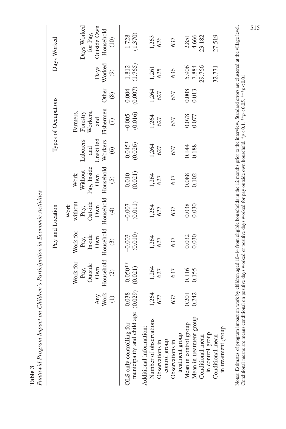|                  | j<br>$\frac{1}{2}$<br>     |
|------------------|----------------------------|
| ֚֚֚֚֚֚֚֚֚֚֚<br>É | $20 + 24$<br>:<br>a mainte |

|                                                                           |                          |                                                                  | Pay and Location                                          |                                                          |                                                                                      |                                                    | Types of Occupations                                                  |                      |                                           | Days Worked                                                                           |
|---------------------------------------------------------------------------|--------------------------|------------------------------------------------------------------|-----------------------------------------------------------|----------------------------------------------------------|--------------------------------------------------------------------------------------|----------------------------------------------------|-----------------------------------------------------------------------|----------------------|-------------------------------------------|---------------------------------------------------------------------------------------|
|                                                                           | Any<br>Work<br>$\ominus$ | Household<br>Work for<br>Outside<br>Own<br>Pay,<br>$\widehat{c}$ | Household<br>Work for<br>Inside<br>Own<br>Pay,<br>$\odot$ | Outside<br>without<br>Own<br>Work<br>Pay,<br>$\bigoplus$ | Household Household<br>Pay, Inside<br>Without<br>Own<br>Work<br>$\widetilde{\Theta}$ | Unskilled<br>Workers<br>Laborers<br>and<br>$\odot$ | Fishermen<br>Farmers,<br>Workers,<br>Forestry<br>and<br>$\widehat{C}$ | Other<br>$\circledS$ | Worked<br>Days<br>$\widehat{\mathcal{O}}$ | Days Worked<br>Outside Own<br>Household<br>for Pay,<br>$\left( \frac{10}{10} \right)$ |
| age<br>OLS only controlling for<br>municipality and child                 | (0.029)<br>0.038         | $0.050**$<br>(0.021)                                             | (0.010)<br>$-0.003$                                       | (0.011)<br>$-0.007$                                      | (0.021)<br>0.010                                                                     | $0.045*$<br>(0.026)                                | (0.016)<br>$-0.005$                                                   | (0.007)<br>0.004     | (1.765)<br>1.812                          | (1.370)<br>1.728                                                                      |
| s<br>Number of observations<br>Additional information:<br>Observations in | 1,264<br>627             | 1,264<br>627                                                     | 1,264<br>627                                              | 1,264<br>627                                             | 1,264<br>627                                                                         | 1,264<br>627                                       | 1,264<br>627                                                          | 1,264<br>627         | 1,261<br>625                              | 1,263<br>626                                                                          |
| treatment group<br>control group<br>Observations in                       | 637                      | 637                                                              | 637                                                       | 637                                                      | 637                                                                                  | 637                                                | 637                                                                   | 637                  | 636                                       | 637                                                                                   |
| Mean in control group                                                     | 0.201                    | 0.116<br>0.155                                                   | 0.032                                                     | 0.038                                                    | 0.088<br>0.102                                                                       | 0.144                                              | 0.078                                                                 | 0.008<br>0.013       | 5.906<br>7.884                            | 2.851<br>4.666                                                                        |
| Mean in treatment group<br>Conditional mean                               | 0.242                    |                                                                  | 0.030                                                     | 0.030                                                    |                                                                                      |                                                    |                                                                       |                      | 29.766                                    | 23.182                                                                                |
| in treatment group<br>in control group<br>Conditional mean                |                          |                                                                  |                                                           |                                                          |                                                                                      |                                                    |                                                                       |                      | 32.771                                    | 27.519                                                                                |
|                                                                           |                          |                                                                  |                                                           |                                                          |                                                                                      |                                                    |                                                                       |                      |                                           |                                                                                       |

Notes: Estimates of program impact on work by children aged 10–14 from eligible households in the 12 months prior to the interview. Standard errors are clustered at the village level.<br>Conditional means are means condition Notes: Estimates of program impact on work by children aged 10–14 from eligible households in the 12 months prior to the interview. Standard errors are clustered at the village level. Conditional means are means conditional on positive days worked or positive days worked for pay outside own household.  $*p < 0.1$ ,  $**p < 0.05$ ,  $***p$ 

515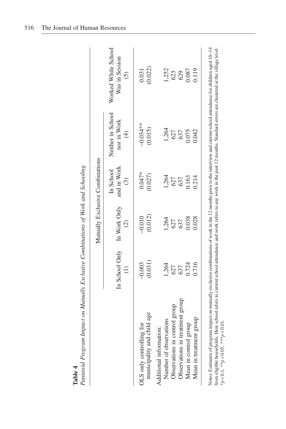|                                                        |                                              | Mutually Exclusive Combinations |                                     |                                                   |                                                      |
|--------------------------------------------------------|----------------------------------------------|---------------------------------|-------------------------------------|---------------------------------------------------|------------------------------------------------------|
|                                                        | In School Only In Work Only<br>$\widehat{=}$ | $\widehat{c}$                   | and in Work<br>In School<br>$\odot$ | Neither in School<br>nor in Work<br>$\widehat{E}$ | Worked While School<br>Was in Session<br>$\tilde{c}$ |
| municipality and child age<br>OLS only controlling for | (0.031)<br>$-0.003$                          | (0.012)<br>$-0.010$             | $0.047*$<br>(0.027)                 | $-0.034**$<br>(0.015)                             | (0.022)<br>0.031                                     |
| Number of observations<br>Additional information:      | 1,264                                        | 1,264                           | 1,264                               | 1,264                                             | 1,252                                                |
| Observations in control group                          | 627                                          | 627                             | 627                                 | 627                                               | 623                                                  |
| Observations in treatment group                        | 637                                          | 637                             | 637                                 | 637                                               | 629                                                  |
| Mean in control group                                  | 0.724                                        | 0.038                           | 0.163                               | 0.075                                             | 0.087                                                |
| Mean in treatment group                                | 0.716                                        | 0.028                           | 0.214                               | 0.042                                             | 0.119                                                |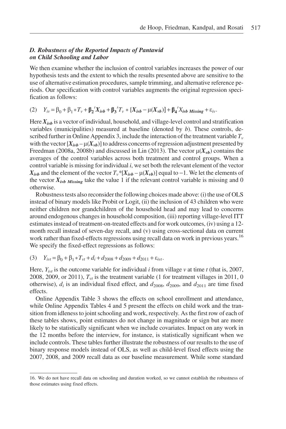# D. Robustness of the Reported Impacts of Pantawid on Child Schooling and Labor

We then examine whether the inclusion of control variables increases the power of our hypothesis tests and the extent to which the results presented above are sensitive to the use of alternative estimation procedures, sample trimming, and alternative reference periods. Our specification with control variables augments the original regression specification as follows:

$$
(2) \t Y_{iv} = \beta_0 + \beta_1 * T_v + \beta_2' X_{ivb} + \beta_3' T_v * [X_{ivb} - \mu(X_{vb})] + \beta_4' X_{ivb} \text{ Missing} + \varepsilon_{iv}.
$$

Here  $X_{ivb}$  is a vector of individual, household, and village-level control and stratification variables (municipalities) measured at baseline (denoted by  $b$ ). These controls, described further in Online Appendix 3, include the interaction of the treatment variable  $T_v$ with the vector  $[X_{ivb} - \mu(X_{vb})]$  to address concerns of regression adjustment presented by Freedman (2008a, 2008b) and discussed in Lin (2013). The vector  $\mu(X_{\nu}$  contains the averages of the control variables across both treatment and control groups. When a control variable is missing for individual *i*, we set both the relevant element of the vector  $X_{ivb}$  and the element of the vector  $T_v^*[X_{ivb} - \mu(X_{vb})]$  equal to  $-1$ . We let the elements of the vector  $X_{ivb$  Missing take the value 1 if the relevant control variable is missing and 0 otherwise.

Robustness tests also reconsider the following choices made above: (i) the use of OLS instead of binary models like Probit or Logit, (ii) the inclusion of 43 children who were neither children nor grandchildren of the household head and may lead to concerns around endogenous changes in household composition, (iii) reporting village-level ITT estimates instead of treatment-on-treated effects and for work outcomes, (iv) using a 12 month recall instead of seven-day recall, and (v) using cross-sectional data on current work rather than fixed-effects regressions using recall data on work in previous years.<sup>16</sup> We specify the fixed-effect regressions as follows:

(3) 
$$
Y_{ivt} = \beta_0 + \beta_1 * T_{vt} + d_i + d_{2008} + d_{2009} + d_{2011} + \varepsilon_{ivt}.
$$

Here,  $Y_{ivt}$  is the outcome variable for individual *i* from village *v* at time *t* (that is, 2007, 2008, 2009, or 2011),  $T_{vt}$  is the treatment variable (1 for treatment villages in 2011, 0 otherwise),  $d_i$  is an individual fixed effect, and  $d_{2008}$ ,  $d_{2009}$ , and  $d_{2011}$  are time fixed effects.

Online Appendix Table 3 shows the effects on school enrollment and attendance, while Online Appendix Tables 4 and 5 present the effects on child work and the transition from idleness to joint schooling and work, respectively. As the first row of each of these tables shows, point estimates do not change in magnitude or sign but are more likely to be statistically significant when we include covariates. Impact on any work in the 12 months before the interview, for instance, is statistically significant when we include controls. These tables further illustrate the robustness of our results to the use of binary response models instead of OLS, as well as child-level fixed effects using the 2007, 2008, and 2009 recall data as our baseline measurement. While some standard

<sup>16.</sup> We do not have recall data on schooling and duration worked, so we cannot establish the robustness of those estimates using fixed effects.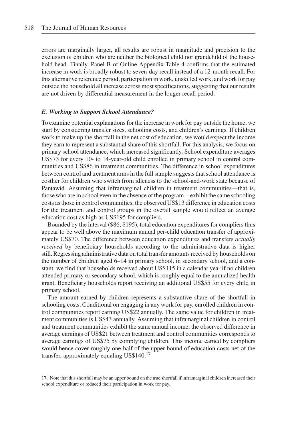errors are marginally larger, all results are robust in magnitude and precision to the exclusion of children who are neither the biological child nor grandchild of the household head. Finally, Panel B of Online Appendix Table 4 confirms that the estimated increase in work is broadly robust to seven-day recall instead of a 12-month recall. For this alternative reference period, participation in work, unskilled work, and work for pay outside the household all increase across most specifications, suggesting that our results are not driven by differential measurement in the longer recall period.

#### E. Working to Support School Attendance?

To examine potential explanations for the increase in work for pay outside the home, we start by considering transfer sizes, schooling costs, and children's earnings. If children work to make up the shortfall in the net cost of education, we would expect the income they earn to represent a substantial share of this shortfall. For this analysis, we focus on primary school attendance, which increased significantly. School expenditure averages US\$73 for every 10- to 14-year-old child enrolled in primary school in control communities and US\$86 in treatment communities. The difference in school expenditures between control and treatment arms in the full sample suggests that school attendance is costlier for children who switch from idleness to the school-and-work state because of Pantawid. Assuming that inframarginal children in treatment communities—that is, those who are in school even in the absence of the program—exhibit the same schooling costs as those in control communities, the observed US\$13 difference in education costs for the treatment and control groups in the overall sample would reflect an average education cost as high as US\$195 for compliers.

Bounded by the interval (\$86, \$195), total education expenditures for compliers thus appear to be well above the maximum annual per-child education transfer of approximately US\$70. The difference between education expenditures and transfers actually received by beneficiary households according to the administrative data is higher still. Regressing administrative data on total transfer amounts received by households on the number of children aged 6–14 in primary school, in secondary school, and a constant, we find that households received about US\$115 in a calendar year if no children attended primary or secondary school, which is roughly equal to the annualized health grant. Beneficiary households report receiving an additional US\$55 for every child in primary school.

The amount earned by children represents a substantive share of the shortfall in schooling costs. Conditional on engaging in any work for pay, enrolled children in control communities report earning US\$22 annually. The same value for children in treatment communities is US\$43 annually. Assuming that inframarginal children in control and treatment communities exhibit the same annual income, the observed difference in average earnings of US\$21 between treatment and control communities corresponds to average earnings of US\$75 by complying children. This income earned by compliers would hence cover roughly one-half of the upper bound of education costs net of the transfer, approximately equaling US\$140. $17$ 

<sup>17.</sup> Note that this shortfall may be an upper bound on the true shortfall if inframarginal children increased their school expenditure or reduced their participation in work for pay.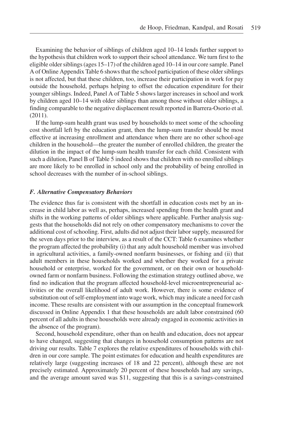Examining the behavior of siblings of children aged 10–14 lends further support to the hypothesis that children work to support their school attendance. We turn first to the eligible older siblings (ages 15–17) of the children aged 10–14 in our core sample. Panel A of Online Appendix Table 6 shows that the school participation of these older siblings is not affected, but that these children, too, increase their participation in work for pay outside the household, perhaps helping to offset the education expenditure for their younger siblings. Indeed, Panel A of Table 5 shows larger increases in school and work by children aged 10–14 with older siblings than among those without older siblings, a finding comparable to the negative displacement result reported in Barrera-Osorio et al. (2011).

If the lump-sum health grant was used by households to meet some of the schooling cost shortfall left by the education grant, then the lump-sum transfer should be most effective at increasing enrollment and attendance when there are no other school-age children in the household—the greater the number of enrolled children, the greater the dilution in the impact of the lump-sum health transfer for each child. Consistent with such a dilution, Panel B of Table 5 indeed shows that children with no enrolled siblings are more likely to be enrolled in school only and the probability of being enrolled in school decreases with the number of in-school siblings.

#### F. Alternative Compensatory Behaviors

The evidence thus far is consistent with the shortfall in education costs met by an increase in child labor as well as, perhaps, increased spending from the health grant and shifts in the working patterns of older siblings where applicable. Further analysis suggests that the households did not rely on other compensatory mechanisms to cover the additional cost of schooling. First, adults did not adjust their labor supply, measured for the seven days prior to the interview, as a result of the CCT: Table 6 examines whether the program affected the probability (i) that any adult household member was involved in agricultural activities, a family-owned nonfarm businesses, or fishing and (ii) that adult members in these households worked and whether they worked for a private household or enterprise, worked for the government, or on their own or householdowned farm or nonfarm business. Following the estimation strategy outlined above, we find no indication that the program affected household-level microentrepreneurial activities or the overall likelihood of adult work. However, there is some evidence of substitution out of self-employment into wage work, which may indicate a need for cash income. These results are consistent with our assumption in the conceptual framework discussed in Online Appendix 1 that these households are adult labor constrained (60 percent of all adults in these households were already engaged in economic activities in the absence of the program).

Second, household expenditure, other than on health and education, does not appear to have changed, suggesting that changes in household consumption patterns are not driving our results. Table 7 explores the relative expenditures of households with children in our core sample. The point estimates for education and health expenditures are relatively large (suggesting increases of 18 and 22 percent), although these are not precisely estimated. Approximately 20 percent of these households had any savings, and the average amount saved was \$11, suggesting that this is a savings-constrained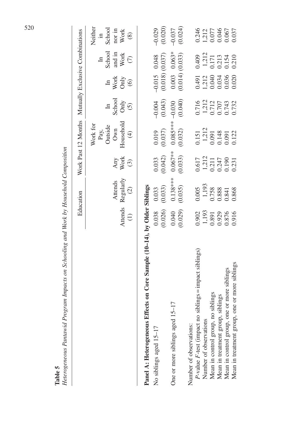|                                                                             |                                                                                   | Education                                                                                  |                                                                                            | Work Past 12 Months Mutually Exclusive Combinations                                           |                                           |                                                                                  |                                                                                                |                                                                                                                |
|-----------------------------------------------------------------------------|-----------------------------------------------------------------------------------|--------------------------------------------------------------------------------------------|--------------------------------------------------------------------------------------------|-----------------------------------------------------------------------------------------------|-------------------------------------------|----------------------------------------------------------------------------------|------------------------------------------------------------------------------------------------|----------------------------------------------------------------------------------------------------------------|
|                                                                             |                                                                                   | Attends $\text{Regularly}$<br>(1) (2)<br>Attends                                           | Any<br>Work                                                                                | Household<br>Work for<br>Pay,<br>Outside<br>Own                                               | School<br>Only<br>$(5)$<br>$\mathbb{H}$   | $\begin{array}{c}\n\text{Work} \\ \text{Only} \\ \text{6}\n\end{array}$<br>$\Xi$ | $\begin{array}{c} \mbox{Stool} \\ \mbox{and in} \\ \mbox{Work} \\ \end{array}$<br>$\mathbb{H}$ | Neither<br>$\begin{array}{l} \text{in}\\ \text{Stool}\\ \text{nor in}\\ \text{Work}\\ \text{Work} \end{array}$ |
|                                                                             |                                                                                   |                                                                                            | $\odot$                                                                                    | $\widehat{\mathcal{F}}$                                                                       |                                           |                                                                                  |                                                                                                |                                                                                                                |
| Effects on Core Sample (10-14), by Older Siblings<br>Panel A: Heterogeneous |                                                                                   |                                                                                            |                                                                                            |                                                                                               |                                           |                                                                                  |                                                                                                |                                                                                                                |
| No siblings aged 15-17                                                      |                                                                                   | 0.033                                                                                      | 0.033                                                                                      | 0.019                                                                                         | $-0.004$<br>(0.043)                       | $-0.015$ 0.048<br>(0.018) (0.037)                                                |                                                                                                | $-0.029$<br>(0.020)                                                                                            |
|                                                                             |                                                                                   | (0.033)                                                                                    | (0.042)                                                                                    | (0.037)                                                                                       |                                           |                                                                                  |                                                                                                |                                                                                                                |
| One or more siblings aged 15-17                                             | $\begin{array}{c} 0.038 \\ 0.026) \\ 0.040 \\ 0.029) \end{array}$                 | $0.138***$<br>(0.035)                                                                      | $0.067***$                                                                                 | $0.085***$<br>(0.032)                                                                         | $-0.030$<br>(0.040)                       |                                                                                  | $0.003$ $0.063*$<br>(0.014) (0.033)                                                            | $-0.037$<br>(0.024)                                                                                            |
|                                                                             |                                                                                   |                                                                                            | (0.033)                                                                                    |                                                                                               |                                           |                                                                                  |                                                                                                |                                                                                                                |
| Number of observations:                                                     |                                                                                   |                                                                                            |                                                                                            |                                                                                               |                                           |                                                                                  |                                                                                                |                                                                                                                |
| no siblings = impact siblings)<br>P-value F-test (impact                    |                                                                                   |                                                                                            |                                                                                            |                                                                                               |                                           | 0.491<br>1,212<br>0.034<br>0.036<br>0.020                                        | $\begin{array}{c} 0.409 \\ 1,212 \\ 0.171 \\ 0.213 \\ 0.313 \\ 0.54 \\ 0.0210 \end{array}$     |                                                                                                                |
| Number of observations                                                      |                                                                                   |                                                                                            |                                                                                            |                                                                                               |                                           |                                                                                  |                                                                                                |                                                                                                                |
| Mean in control group, no siblings                                          |                                                                                   |                                                                                            |                                                                                            |                                                                                               |                                           |                                                                                  |                                                                                                |                                                                                                                |
| Mean in treatment group, siblings                                           |                                                                                   |                                                                                            |                                                                                            |                                                                                               |                                           |                                                                                  |                                                                                                |                                                                                                                |
| Mean in control group, one or more siblings                                 | $\begin{array}{c} 0.902 \\ 1.193 \\ 0.891 \\ 0.929 \\ 0.876 \\ 0.916 \end{array}$ | $\begin{array}{c} 0.005 \\ 1,193 \\ 0.758 \\ 0.888 \\ 0.841 \\ 0.841 \\ 0.868 \end{array}$ | $\begin{array}{c} 0.617 \\ 1.212 \\ 0.211 \\ 0.247 \\ 0.190 \\ 0.190 \\ 0.231 \end{array}$ | $\begin{array}{c} 0.151 \\ 1,212 \\ 0.091 \\ 0.148 \\ 0.091 \\ 0.091 \\ 0.012 \\ \end{array}$ | 0.716<br>1,212<br>0.712<br>0.743<br>0.732 |                                                                                  |                                                                                                | 0.246<br>1,212<br>0.077<br>0.067<br>0.067                                                                      |
| Mean in treatment group, one or more siblings                               |                                                                                   |                                                                                            |                                                                                            |                                                                                               |                                           |                                                                                  |                                                                                                |                                                                                                                |

Table 5<br>Heterogeneous Pantawid Program Impacts on Schooling and Work by Household Composition Heterogeneous Pantawid Program Impacts on Schooling and Work by Household Composition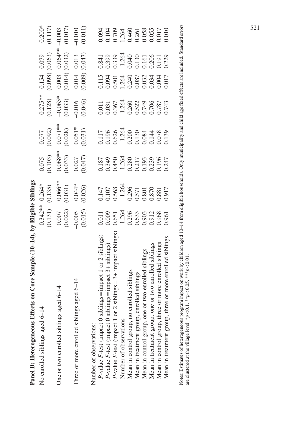| Panel B: Heterogeneous Effects on Core Sample (10-14), by Eligible Siblings |                                                                                                                                                                                                                                                                                                           |                                                                                                                                                |                                                                       |                                                                                                            |                                                             |                                                                                          |                                                                 |                                                             |
|-----------------------------------------------------------------------------|-----------------------------------------------------------------------------------------------------------------------------------------------------------------------------------------------------------------------------------------------------------------------------------------------------------|------------------------------------------------------------------------------------------------------------------------------------------------|-----------------------------------------------------------------------|------------------------------------------------------------------------------------------------------------|-------------------------------------------------------------|------------------------------------------------------------------------------------------|-----------------------------------------------------------------|-------------------------------------------------------------|
| $6 - 14$<br>No enrolled siblings aged                                       |                                                                                                                                                                                                                                                                                                           | $0.264*$                                                                                                                                       | $-0.075$<br>(0.103)                                                   | (0.077)                                                                                                    | $0.275***$ .<br>(0.128)                                     |                                                                                          |                                                                 | $-0.200*$<br>(0.117)                                        |
| One or two enrolled siblings aged 6-14                                      |                                                                                                                                                                                                                                                                                                           | $\begin{array}{c} (0.135) \\ 0.066** \\ (0.031) \\ 0.04** \end{array}$                                                                         |                                                                       |                                                                                                            |                                                             | $(0.05)$<br>$(0.098)$<br>$(0.063)$<br>$(0.003)$<br>$(0.064**)$<br>$(0.014)$<br>$(0.032)$ |                                                                 | $-0.003$<br>(0.017)<br>-0.010                               |
| Three or more enrolled siblings aged 6-14                                   | $0.342**$<br>$(0.131)$<br>$(0.007)$<br>$(0.007)$<br>$(0.022)$<br>$(0.015)$                                                                                                                                                                                                                                | (0.026)                                                                                                                                        | $\begin{array}{c} 0.068** \\ (0.033) \\ 0.027 \\ (0.047) \end{array}$ | $\begin{array}{c} 0.071** \\ (0.028) \\ 0.051* \\ (0.031) \end{array}$                                     | $-0.065*$<br>$(0.033)$<br>$-0.016$<br>$(0.046)$             | $(0.009)$ $(0.047)$                                                                      |                                                                 | (0.011)                                                     |
| Number of observations:                                                     |                                                                                                                                                                                                                                                                                                           |                                                                                                                                                |                                                                       |                                                                                                            |                                                             |                                                                                          |                                                                 |                                                             |
| $sibling_s = impact 1 or 2 sibling_s)$<br>P-value F-test (impact 0          |                                                                                                                                                                                                                                                                                                           |                                                                                                                                                |                                                                       |                                                                                                            |                                                             |                                                                                          |                                                                 |                                                             |
| $siblings = impact 3 + siblings$<br>P-value F-test (impact 0                |                                                                                                                                                                                                                                                                                                           |                                                                                                                                                |                                                                       |                                                                                                            |                                                             |                                                                                          |                                                                 |                                                             |
| or 2 siblings = $3+$ impact siblings)<br>P-value F-test (impact 1           |                                                                                                                                                                                                                                                                                                           |                                                                                                                                                |                                                                       |                                                                                                            |                                                             |                                                                                          |                                                                 |                                                             |
| Number of observations                                                      | $\begin{array}{l} 0.011 \\ 0.009 \\ 0.651 \\ 0.248 \\ 0.296 \\ 0.633 \\ 0.030 \\ 0.000 \\ 0.000 \\ 0.000 \\ 0.000 \\ 0.000 \\ 0.00 \\ 0.00 \\ 0.00 \\ 0.00 \\ 0.00 \\ 0.00 \\ 0.00 \\ 0.00 \\ 0.00 \\ 0.00 \\ 0.00 \\ 0.00 \\ 0.00 \\ 0.00 \\ 0.00 \\ 0.00 \\ 0.00 \\ 0.00 \\ 0.00 \\ 0.00 \\ 0.00 \\ 0.$ | $\begin{array}{l} 0.147 \\ 0.107 \\ 0.568 \\ 0.568 \\ 1,264 \\ 0.396 \\ 0.571 \\ 0.801 \\ 0.801 \\ 0.81 \\ 0.81 \\ 0.917 \\ 0.917 \end{array}$ | 0.187<br>0.349<br>0.450<br>0.2117<br>0.242<br>0.247<br>0.247          | $0.117$<br>$0.196$<br>$0.626$<br>$0.200$<br>$0.308$<br>$0.308$<br>$0.144$<br>$0.000$<br>$0.000$<br>$0.000$ | 0.011<br>0.031<br>0.367<br>0.364<br>0.749<br>0.787<br>0.743 |                                                                                          | 0.841<br>0.399<br>0.339<br>0.34<br>0.30<br>0.20<br>0.20<br>0.20 | 0.094<br>0.104<br>0.704<br>0.460<br>0.055<br>0.017<br>0.017 |
| Mean in control group, no enrolled siblings                                 |                                                                                                                                                                                                                                                                                                           |                                                                                                                                                |                                                                       |                                                                                                            |                                                             |                                                                                          |                                                                 |                                                             |
| Mean in treatment group, enrolled siblings                                  |                                                                                                                                                                                                                                                                                                           |                                                                                                                                                |                                                                       |                                                                                                            |                                                             |                                                                                          |                                                                 |                                                             |
| Mean in control group, one or two enrolled siblings                         |                                                                                                                                                                                                                                                                                                           |                                                                                                                                                |                                                                       |                                                                                                            |                                                             |                                                                                          |                                                                 |                                                             |
| Mean in treatment group, one or two enrolled siblings                       |                                                                                                                                                                                                                                                                                                           |                                                                                                                                                |                                                                       |                                                                                                            |                                                             |                                                                                          |                                                                 |                                                             |
| three or more enrolled siblings<br>Mean in control group,                   |                                                                                                                                                                                                                                                                                                           |                                                                                                                                                |                                                                       |                                                                                                            |                                                             |                                                                                          |                                                                 |                                                             |
| Mean in treatment group, three or more enrolled siblings                    |                                                                                                                                                                                                                                                                                                           |                                                                                                                                                |                                                                       |                                                                                                            |                                                             |                                                                                          |                                                                 |                                                             |
|                                                                             |                                                                                                                                                                                                                                                                                                           |                                                                                                                                                |                                                                       |                                                                                                            |                                                             |                                                                                          |                                                                 |                                                             |

Notes: Estimates of heterogeneous program impact on work by children aged 10-14 from eligible households. Only municipality and child age fixed effects are included. Standard errors<br>are clustered at the village level. \*p < Notes: Estimates of heterogeneous program impact on work by children aged 10–14 from eligible households. Only municipality and child age fixed effects are included. Standard errors are clustered at the village level. \*p < 0.1, \*\*p < 0.05, \*\*\*p < 0.01.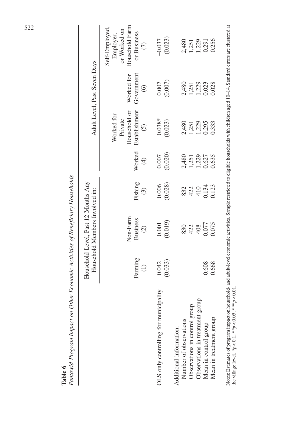|                                                   |                        | Household Level, Past 12 Months Any<br>Household Members Involved in: |                    |                                  |                                                                         | Adult Level, Past Seven Days        |                                                                                         |
|---------------------------------------------------|------------------------|-----------------------------------------------------------------------|--------------------|----------------------------------|-------------------------------------------------------------------------|-------------------------------------|-----------------------------------------------------------------------------------------|
|                                                   | Farming<br>$\bigoplus$ | Non-Farm<br><b>Business</b><br>$\widehat{c}$                          | Fishing<br>$\odot$ | Worked<br>$\bigoplus$            | Household or<br>Establishment<br>Worked for<br>Private<br>$\widehat{c}$ | Government<br>Worked for<br>$\odot$ | Household Farm<br>Self-Employed,<br>or Worked on<br>or Business<br>Employer,<br>$\odot$ |
| OLS only controlling for municipality             | (0.033)<br>0.042       | (0.019)<br>0.001                                                      | (0.028)<br>0.006   | (0.020)<br>0.007                 | $0.038*$<br>(0.023)                                                     | (0.007)<br>0.007                    | (0.023)<br>$-0.037$                                                                     |
| Number of observations<br>Additional information: |                        | 830                                                                   |                    |                                  |                                                                         |                                     |                                                                                         |
| Observations in control group                     |                        | 422                                                                   | $832$<br>420       |                                  |                                                                         |                                     |                                                                                         |
| Observations in treatment group                   |                        | 408                                                                   |                    | 2,480<br>1,251<br>1,229<br>0.627 | 2,480<br>1,251<br>1,229                                                 | 2,480<br>1,251<br>1,229             | 2,480<br>1,273<br>1,279<br>0.291                                                        |
| Mean in control group                             | 0.608                  | 0.077                                                                 | 0.134              |                                  | 0.295                                                                   | 0.023                               |                                                                                         |
| Mean in treatment group                           | 0.668                  | 0.075                                                                 | 0.123              | 1.635                            | 0.333                                                                   | 0.028                               | 0.256                                                                                   |

Pantawid Program Impact on Other Economic Activities of Beneficiary Households  $H_{\alpha}$ £  $\overline{c}$ dialet e l,  $\ddot{\phantom{a}}$  $\vec{E}$  $\Omega_{th}$ Á, Table 6  $P_{\text{inertained}}$ 

Notes: Estimates of program impact on household- and adult-level economic activities. Sample restricted to eligible households with children aged 10-14. Standard errors are clustered at<br>the village level. \*p<0.1, \*\*p<0.05, Notes: Estimates of program impact on household- and adult-level economic activities. Sample restricted to eligible households with children aged 10–14. Standard errors are clustered at the village level. \* $p < 0.1$ , \*\*\* $p < 0.05$ , \*\*\* $p < 0.01$ .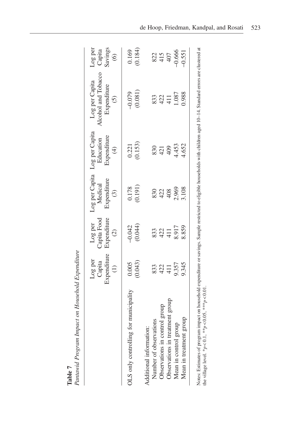|                                       | Expenditure<br>Log per<br>Capita<br>$\ominus$ | Expenditure<br>Capita Food<br>Log per<br>$\widehat{c}$ | Expenditure<br>Medical<br>$\odot$ | Log per Capita Log per Capita<br>Expenditure<br>Education<br>$\bigoplus$ | Alcohol and Tobacco<br>Log per Capita<br>Expenditure<br>$\widehat{c}$ | Log per<br>Capita<br>Savings<br>(6) |
|---------------------------------------|-----------------------------------------------|--------------------------------------------------------|-----------------------------------|--------------------------------------------------------------------------|-----------------------------------------------------------------------|-------------------------------------|
| OLS only controlling for municipality | (0.043)<br>0.005                              | (0.044)<br>$-0.042$                                    | (0.191)<br>0.178                  | (0.153)<br>0.221                                                         | (0.081)<br>$-0.079$                                                   | (0.184)<br>0.169                    |
| Additional information:               |                                               |                                                        |                                   |                                                                          |                                                                       |                                     |
| Number of observations                | 833                                           | 833                                                    | 830                               | 830                                                                      | 833                                                                   |                                     |
| Observations in control group         | 422                                           | 422                                                    | 422<br>408                        | 421                                                                      | 422<br>411                                                            | 82<br>45<br>407                     |
| Observations in treatment group       | 41                                            | 411                                                    |                                   | 409                                                                      |                                                                       |                                     |
| Mean in control group                 | 9.357                                         | 8.917                                                  | 2.969                             | 4.453                                                                    | 1.087                                                                 | $-0.666$                            |
| Mean in treatment group               | 9.345                                         | 8.859                                                  | 8.108                             | 4.652                                                                    | 0.988                                                                 | $-0.551$                            |

Pantawid Program Impact on Household Expenditure Pantawid Program Impact on Household Expenditure Table 7

Notes: Estimates of program impact on household expenditure or savings. Sample restricted to eligible households with children aged 10–14. Standard errors are clustered at ġ.  $\dot{\mathfrak{a}}$ ì ą. Notes: Estimates of program impact on household experient willage level.  $*_{p} < 0.1$ ,  $*_{p} < 0.05$ ,  $*_{*} > 0.01$ . the village level. \* $p < 0.1$ , \*\* $p < 0.05$ , \*\*\* $p < 0.01$ .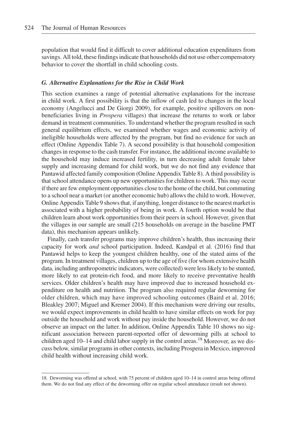population that would find it difficult to cover additional education expenditures from savings. All told, these findings indicate that households did not use other compensatory behavior to cover the shortfall in child schooling costs.

#### G. Alternative Explanations for the Rise in Child Work

This section examines a range of potential alternative explanations for the increase in child work. A first possibility is that the inflow of cash led to changes in the local economy (Angelucci and De Giorgi 2009), for example, positive spillovers on nonbeneficiaries living in Prospera villages) that increase the returns to work or labor demand in treatment communities. To understand whether the program resulted in such general equilibrium effects, we examined whether wages and economic activity of ineligible households were affected by the program, but find no evidence for such an effect (Online Appendix Table 7). A second possibility is that household composition changes in response to the cash transfer. For instance, the additional income available to the household may induce increased fertility, in turn decreasing adult female labor supply and increasing demand for child work, but we do not find any evidence that Pantawid affected family composition (Online Appendix Table 8). A third possibility is that school attendance opens up new opportunities for children to work. This may occur if there are few employment opportunities close to the home of the child, but commuting to a school near a market (or another economic hub) allows the child to work. However, Online Appendix Table 9 shows that, if anything, longer distance to the nearest market is associated with a higher probability of being in work. A fourth option would be that children learn about work opportunities from their peers in school. However, given that the villages in our sample are small (215 households on average in the baseline PMT data), this mechanism appears unlikely.

Finally, cash transfer programs may improve children's health, thus increasing their capacity for work and school participation. Indeed, Kandpal et al. (2016) find that Pantawid helps to keep the youngest children healthy, one of the stated aims of the program. In treatment villages, children up to the age of five (for whom extensive health data, including anthropometric indicators, were collected) were less likely to be stunted, more likely to eat protein-rich food, and more likely to receive preventative health services. Older children's health may have improved due to increased household expenditure on health and nutrition. The program also required regular deworming for older children, which may have improved schooling outcomes (Baird et al. 2016; Bleakley 2007; Miguel and Kremer 2004). If this mechanism were driving our results, we would expect improvements in child health to have similar effects on work for pay outside the household and work without pay inside the household. However, we do not observe an impact on the latter. In addition, Online Appendix Table 10 shows no significant association between parent-reported offer of deworming pills at school to children aged  $10-14$  and child labor supply in the control areas.<sup>18</sup> Moreover, as we discuss below, similar programs in other contexts, including Prospera in Mexico, improved child health without increasing child work.

<sup>18.</sup> Deworming was offered at school, with 75 percent of children aged 10–14 in control areas being offered them. We do not find any effect of the deworming offer on regular school attendance (result not shown).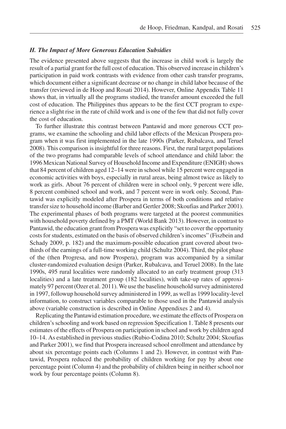# H. The Impact of More Generous Education Subsidies

The evidence presented above suggests that the increase in child work is largely the result of a partial grant for the full cost of education. This observed increase in children's participation in paid work contrasts with evidence from other cash transfer programs, which document either a significant decrease or no change in child labor because of the transfer (reviewed in de Hoop and Rosati 2014). However, Online Appendix Table 11 shows that, in virtually all the programs studied, the transfer amount exceeded the full cost of education. The Philippines thus appears to be the first CCT program to experience a slight rise in the rate of child work and is one of the few that did not fully cover the cost of education.

To further illustrate this contrast between Pantawid and more generous CCT programs, we examine the schooling and child labor effects of the Mexican Prospera program when it was first implemented in the late 1990s (Parker, Rubalcava, and Teruel 2008). This comparison is insightful for three reasons. First, the rural target populations of the two programs had comparable levels of school attendance and child labor: the 1996 Mexican National Survey of Household Income and Expenditure (ENIGH) shows that 84 percent of children aged 12–14 were in school while 15 percent were engaged in economic activities with boys, especially in rural areas, being almost twice as likely to work as girls. About 76 percent of children were in school only, 9 percent were idle, 8 percent combined school and work, and 7 percent were in work only. Second, Pantawid was explicitly modeled after Prospera in terms of both conditions and relative transfer size to household income (Barber and Gertler 2008; Skoufias and Parker 2001). The experimental phases of both programs were targeted at the poorest communities with household poverty defined by a PMT (World Bank 2013). However, in contrast to Pantawid, the education grant from Prospera was explicitly "set to cover the opportunity costs for students, estimated on the basis of observed children's incomes" (Fiszbein and Schady 2009, p. 182) and the maximum-possible education grant covered about twothirds of the earnings of a full-time working child (Schultz 2004). Third, the pilot phase of the (then Progresa, and now Prospera), program was accompanied by a similar cluster-randomized evaluation design (Parker, Rubalcava, and Teruel 2008). In the late 1990s, 495 rural localities were randomly allocated to an early treatment group (313 localities) and a late treatment group (182 localities), with take-up rates of approximately 97 percent (Ozer et al. 2011).We use the baseline household survey administered in 1997, followup household survey administered in 1999, as well as 1999 locality-level information, to construct variables comparable to those used in the Pantawid analysis above (variable construction is described in Online Appendixes 2 and 4).

Replicating the Pantawid estimation procedure, we estimate the effects of Prospera on children's schooling and work based on regression Specification 1. Table 8 presents our estimates of the effects of Prospera on participation in school and work by children aged 10–14. As established in previous studies (Rubio-Codina 2010; Schultz 2004; Skoufias and Parker 2001), we find that Prospera increased school enrollment and attendance by about six percentage points each (Columns 1 and 2). However, in contrast with Pantawid, Prospera reduced the probability of children working for pay by about one percentage point (Column 4) and the probability of children being in neither school nor work by four percentage points (Column 8).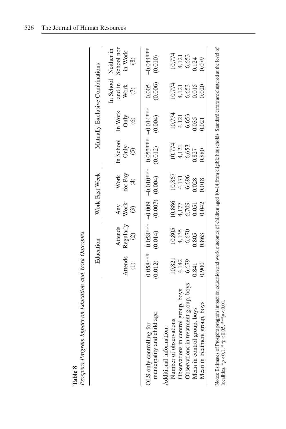|                                                        |                      | Education                  |                                         | Work Past Week                |                                  | Mutually Exclusive Combinations  |                                   |                                                              |
|--------------------------------------------------------|----------------------|----------------------------|-----------------------------------------|-------------------------------|----------------------------------|----------------------------------|-----------------------------------|--------------------------------------------------------------|
|                                                        | Attends<br>$\ominus$ | Regularly $(2)$<br>Attends | $\frac{\text{Any}}{\text{Work}}$<br>(3) | Work<br>for Pay $(4)$         | In School In Work<br>Only<br>(5) | $\frac{\text{Only}}{\text{(6)}}$ | and in<br>Work                    | School nor<br>In School Neither in<br>in Work<br>$\circledS$ |
| municipality and child age<br>OLS only controlling for | (0.012)              | (0.014)                    |                                         | $(0.007)$ $(0.004)$ $(0.012)$ |                                  | (0.004)                          | 0.005<br>(0.006)                  | $-0.044***$<br>(0.010)                                       |
| Number of observations<br>Additional information:      | 10,821               | 10,805                     |                                         |                               |                                  | 10,774                           |                                   |                                                              |
| Observations in control group, boys                    | 4,142                |                            | 10,886<br>4,177<br>6,709                | 10,867<br>4,171<br>6,696      | 10,774<br>4,121<br>6,653         |                                  | 10,774<br>4,121<br>6,653<br>0.015 | $10,774$<br>4, 121<br>6,653<br>0.124                         |
| Observations in treatment group, boys                  | 6,679                | 4,135<br>6,670             |                                         |                               |                                  | 4,121<br>6,653                   |                                   |                                                              |
| Mean in control group, boys                            | 0.841                | 0.805                      | 0.051                                   | 0.028                         | 0.827                            | 0.035                            |                                   |                                                              |
| Mean in treatment group, boys                          | 0.900                | 0.863                      | 0.042                                   | 0.018                         | 0.880                            | 0.021                            | 0.020                             | 0.79                                                         |

Prospera Program Impact on Education and Work Outcomes  $I$  Work Outo ÷ FA.  $\ddot{\phantom{1}}$ Å,  $D_{in}$ Table  $8$ <br>Processes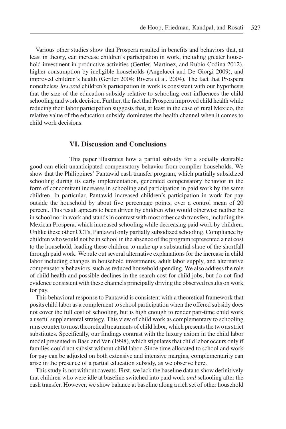Various other studies show that Prospera resulted in benefits and behaviors that, at least in theory, can increase children's participation in work, including greater household investment in productive activities (Gertler, Martinez, and Rubio-Codina 2012), higher consumption by ineligible households (Angelucci and De Giorgi 2009), and improved children's health (Gertler 2004; Rivera et al. 2004). The fact that Prospera nonetheless lowered children's participation in work is consistent with our hypothesis that the size of the education subsidy relative to schooling cost influences the child schooling and work decision. Further, the fact that Prospera improved child health while reducing their labor participation suggests that, at least in the case of rural Mexico, the relative value of the education subsidy dominates the health channel when it comes to child work decisions.

# VI. Discussion and Conclusions

This paper illustrates how a partial subsidy for a socially desirable good can elicit unanticipated compensatory behavior from complier households. We show that the Philippines' Pantawid cash transfer program, which partially subsidized schooling during its early implementation, generated compensatory behavior in the form of concomitant increases in schooling and participation in paid work by the same children. In particular, Pantawid increased children's participation in work for pay outside the household by about five percentage points, over a control mean of 20 percent. This result appears to been driven by children who would otherwise neither be in school nor in work and stands in contrast with most other cash transfers, including the Mexican Prospera, which increased schooling while decreasing paid work by children. Unlike these other CCTs, Pantawid only partially subsidized schooling. Compliance by children who would not be in school in the absence of the program represented a net cost to the household, leading these children to make up a substantial share of the shortfall through paid work. We rule out several alternative explanations for the increase in child labor including changes in household investments, adult labor supply, and alternative compensatory behaviors, such as reduced household spending. We also address the role of child health and possible declines in the search cost for child jobs, but do not find evidence consistent with these channels principally driving the observed results on work for pay.

This behavioral response to Pantawid is consistent with a theoretical framework that posits child labor as a complement to school participation when the offered subsidy does not cover the full cost of schooling, but is high enough to render part-time child work a useful supplemental strategy. This view of child work as complementary to schooling runs counter to most theoretical treatments of child labor, which presents the two as strict substitutes. Specifically, our findings contrast with the luxury axiom in the child labor model presented in Basu and Van (1998), which stipulates that child labor occurs only if families could not subsist without child labor. Since time allocated to school and work for pay can be adjusted on both extensive and intensive margins, complementarity can arise in the presence of a partial education subsidy, as we observe here.

This study is not without caveats. First, we lack the baseline data to show definitively that children who were idle at baseline switched into paid work and schooling after the cash transfer. However, we show balance at baseline along a rich set of other household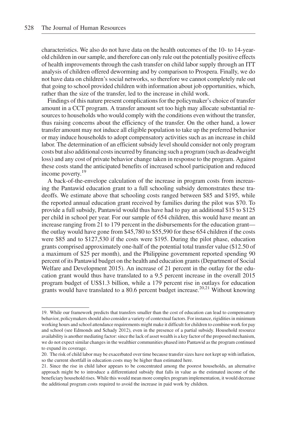characteristics. We also do not have data on the health outcomes of the 10- to 14-yearold children in our sample, and therefore can only rule out the potentially positive effects of health improvements through the cash transfer on child labor supply through an ITT analysis of children offered deworming and by comparison to Prospera. Finally, we do not have data on children's social networks, so therefore we cannot completely rule out that going to school provided children with information about job opportunities, which, rather than the size of the transfer, led to the increase in child work.

Findings of this nature present complications for the policymaker's choice of transfer amount in a CCT program. A transfer amount set too high may allocate substantial resources to households who would comply with the conditions even without the transfer, thus raising concerns about the efficiency of the transfer. On the other hand, a lower transfer amount may not induce all eligible population to take up the preferred behavior or may induce households to adopt compensatory activities such as an increase in child labor. The determination of an efficient subsidy level should consider not only program costs but also additional costs incurred by financing such a program (such as deadweight loss) and any cost of private behavior change taken in response to the program. Against these costs stand the anticipated benefits of increased school participation and reduced income poverty.<sup>19</sup>

A back-of-the-envelope calculation of the increase in program costs from increasing the Pantawid education grant to a full schooling subsidy demonstrates these tradeoffs. We estimate above that schooling costs ranged between \$85 and \$195, while the reported annual education grant received by families during the pilot was \$70. To provide a full subsidy, Pantawid would thus have had to pay an additional \$15 to \$125 per child in school per year. For our sample of 654 children, this would have meant an increase ranging from 21 to 179 percent in the disbursements for the education grant the outlay would have gone from \$45,780 to \$55,590 for these 654 children if the costs were \$85 and to \$127,530 if the costs were \$195. During the pilot phase, education grants comprised approximately one-half of the potential total transfer value (\$12.50 of a maximum of \$25 per month), and the Philippine government reported spending 90 percent of its Pantawid budget on the health and education grants (Department of Social Welfare and Development 2015). An increase of 21 percent in the outlay for the education grant would thus have translated to a 9.5 percent increase in the overall 2015 program budget of US\$1.3 billion, while a 179 percent rise in outlays for education grants would have translated to a 80.6 percent budget increase.<sup>20,21</sup> Without knowing

<sup>19.</sup> While our framework predicts that transfers smaller than the cost of education can lead to compensatory behavior, policymakers should also consider a variety of contextual factors. For instance, rigidities in minimum working hours and school attendance requirements might make it difficult for children to combine work for pay and school (see Edmonds and Schady 2012), even in the presence of a partial subsidy. Household resource availability is another mediating factor: since the lack of asset wealth is a key factor of the proposed mechanism, we do not expect similar changes in the wealthier communities phased into Pantawid as the program continued to expand its coverage.

<sup>20.</sup> The risk of child labor may be exacerbated over time because transfer sizes have not kept up with inflation, so the current shortfall in education costs may be higher than estimated here.

<sup>21.</sup> Since the rise in child labor appears to be concentrated among the poorest households, an alternative approach might be to introduce a differentiated subsidy that falls in value as the estimated income of the beneficiary household rises. While this would mean more complex program implementation, it would decrease the additional program costs required to avoid the increase in paid work by children.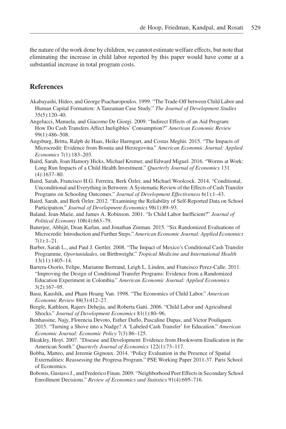the nature of the work done by children, we cannot estimate welfare effects, but note that eliminating the increase in child labor reported by this paper would have come at a substantial increase in total program costs.

# **References**

- Akabayashi, Hideo, and George Psacharopoulos. 1999. "The Trade-Off between Child Labor and Human Capital Formation: A Tanzanian Case Study." The Journal of Development Studies 35(5):120–40.
- Angelucci, Manuela, and Giacomo De Giorgi. 2009. "Indirect Effects of an Aid Program: How Do Cash Transfers Affect Ineligibles' Consumption?" American Economic Review 99(1):486–508.
- Augsburg, Britta, Ralph de Haas, Heike Harmgart, and Costas Meghir. 2015. "The Impacts of Microcredit: Evidence from Bosnia and Herzegovina." American Economic Journal: Applied Economics 7(1):183–203.
- Baird, Sarah, Joan Hamory Hicks, Michael Kremer, and Edward Miguel. 2016. "Worms at Work: Long Run Impacts of a Child Health Investment." Quarterly Journal of Economics 131 (4):1637–80.
- Baird, Sarah, Francisco H.G. Ferreira, Berk Özler, and Michael Woolcock. 2014. "Conditional, Unconditional and Everything in Between: A Systematic Review of the Effects of Cash Transfer Programs on Schooling Outcomes." Journal of Development Effectiveness 6(1):1-43.
- Baird, Sarah, and Berk Özler. 2012. "Examining the Reliability of Self-Reported Data on School Participation." Journal of Development Economics 98(1):89-93.
- Baland, Jean-Marie, and James A. Robinson. 2001. "Is Child Labor Inefficient?" Journal of Political Economy 108(4):663–79.
- Banerjee, Abhijit, Dean Karlan, and Jonathan Zinman. 2015. "Six Randomized Evaluations of Microcredit: Introduction and Further Steps." American Economic Journal: Applied Economics  $7(1):1-21.$
- Barber, Sarah L., and Paul J. Gertler. 2008. "The Impact of Mexico's Conditional Cash Transfer Programme, Oportunidades, on Birthweight." Tropical Medicine and International Health 13(11):1405–14.
- Barrera-Osorio, Felipe, Marianne Bertrand, Leigh L. Linden, and Francisco Perez-Calle. 2011. "Improving the Design of Conditional Transfer Programs: Evidence from a Randomized Education Experiment in Colombia." American Economic Journal: Applied Economics 3(2):167–95.
- Basu, Kaushik, and Pham Hoang Van. 1998. "The Economics of Child Labor." American Economic Review 88(3):412–27.
- Beegle, Kathleen, Rajeev Dehejia, and Roberta Gatti. 2006. "Child Labor and Agricultural Shocks." Journal of Development Economics 81(1):80-96.
- Benhassine, Najy, Florencia Devoto, Esther Duflo, Pascaline Dupas, and Victor Pouliquen. 2015. "Turning a Shove into a Nudge? A 'Labeled Cash Transfer' for Education." American Economic Journal: Economic Policy 7(3):86–125.
- Bleakley, Hoyt. 2007. "Disease and Development: Evidence from Hookworm Eradication in the American South." Quarterly Journal of Economics 122(1):73-117.
- Bobba, Matteo, and Jeremie Gignoux. 2014. "Policy Evaluation in the Presence of Spatial Externalities: Reassessing the Progresa Program." PSE Working Paper 2011-37. Paris School of Economics.
- Bobonis, Gustavo J., and Frederico Finan. 2009. "Neighborhood Peer Effects in Secondary School Enrollment Decisions." Review of Economics and Statistics 91(4):695–716.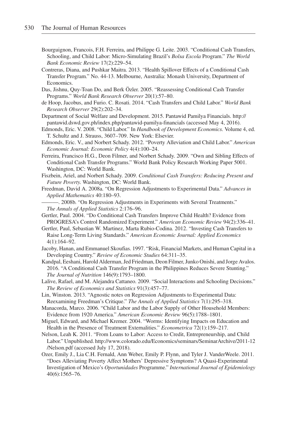- Bourguignon, Francois, F.H. Ferreira, and Philippe G. Leite. 2003. "Conditional Cash Transfers, Schooling, and Child Labor: Micro-Simulating Brazil's Bolsa Escola Program." The World Bank Economic Review 17(2):229–54.
- Contreras, Diana, and Pushkar Maitra. 2013. "Health Spillover Effects of a Conditional Cash Transfer Program." No. 44-13. Melbourne, Australia: Monash University, Department of Economics.
- Das, Jishnu, Quy-Toan Do, and Berk Özler. 2005. "Reassessing Conditional Cash Transfer Programs." World Bank Research Observer 20(1):57–80.
- de Hoop, Jacobus, and Furio. C. Rosati. 2014. "Cash Transfers and Child Labor." World Bank Research Observer 29(2):202–34.
- Department of Social Welfare and Development. 2015. Pantawid Pamilya Financials. [http://](http://pantawid.dswd.gov.ph/index.php/pantawid-pamilya-financials) [pantawid.dswd.gov.ph/index.php/pantawid-pamilya-financials](http://pantawid.dswd.gov.ph/index.php/pantawid-pamilya-financials) (accessed May 4, 2016).
- Edmonds, Eric. V. 2008. "Child Labor." In Handbook of Development Economics. Volume 4, ed. T. Schultz and J. Strauss, 3607–709. New York: Elsevier.
- Edmonds, Eric. V., and Norbert Schady. 2012. "Poverty Alleviation and Child Labor." American Economic Journal: Economic Policy 4(4):100–24.
- Ferreira, Francisco H.G., Deon Filmer, and Norbert Schady. 2009. "Own and Sibling Effects of Conditional Cash Transfer Programs." World Bank Policy Research Working Paper 5001. Washington, DC: World Bank.
- Fiszbein, Ariel, and Norbert Schady. 2009. Conditional Cash Transfers: Reducing Present and Future Poverty. Washington, DC: World Bank.
- Freedman, David A. 2008a. "On Regression Adjustments to Experimental Data." Advances in Applied Mathematics 40:180–93.
- ———. 2008b. "On Regression Adjustments in Experiments with Several Treatments." The Annals of Applied Statistics 2:176–96.
- Gertler, Paul. 2004. "Do Conditional Cash Transfers Improve Child Health? Evidence from PROGRESA's Control Randomized Experiment." American Economic Review 94(2):336–41.
- Gertler, Paul, Sebastian W. Martinez, Marta Rubio-Codina. 2012. "Investing Cash Transfers to Raise Long-Term Living Standards." American Economic Journal: Applied Economics 4(1):164–92.
- Jacoby, Hanan, and Emmanuel Skoufias. 1997. "Risk, Financial Markets, and Human Capital in a Developing Country." Review of Economic Studies 64:311–35.
- Kandpal, Eeshani, Harold Alderman, Jed Friedman, Deon Filmer, Junko Onishi, and Jorge Avalos. 2016. "A Conditional Cash Transfer Program in the Philippines Reduces Severe Stunting." The Journal of Nutrition 146(9):1793–1800.
- Lalive, Rafael, and M. Alejandra Cattaneo. 2009. "Social Interactions and Schooling Decisions." The Review of Economics and Statistics 91(3):457–77.
- Lin, Winston. 2013. "Agnostic notes on Regression Adjustments to Experimental Data: Reexamining Freedman's Critique." The Annals of Applied Statistics 7(1):295–318.
- Manacorda, Marco. 2006. "Child Labor and the Labor Supply of Other Household Members: Evidence from 1920 America." American Economic Review 96(5):1788–1801.
- Miguel, Edward, and Michael Kremer. 2004. "Worms: Identifying Impacts on Education and Health in the Presence of Treatment Externalities." Econometrica 72(1):159–217.
- Nelson, Leah K. 2011. "From Loans to Labor: Access to Credit, Entrepreneurship, and Child Labor." Unpublished. [http://www.colorado.edu/Economics/seminars/SeminarArchive/2011-12](http://www.colorado.edu/Economics/seminars/SeminarArchive/2011-12/Nelson.pdf) [/Nelson.pdf](http://www.colorado.edu/Economics/seminars/SeminarArchive/2011-12/Nelson.pdf) (accessed July 17, 2018).
- Ozer, Emily J., Lia C.H. Fernald, Ann Weber, Emily P. Flynn, and Tyler J. VanderWeele. 2011. "Does Alleviating Poverty Affect Mothers' Depressive Symptoms? A Quasi-Experimental Investigation of Mexico's Oportunidades Programme." International Journal of Epidemiology 40(6):1565–76.